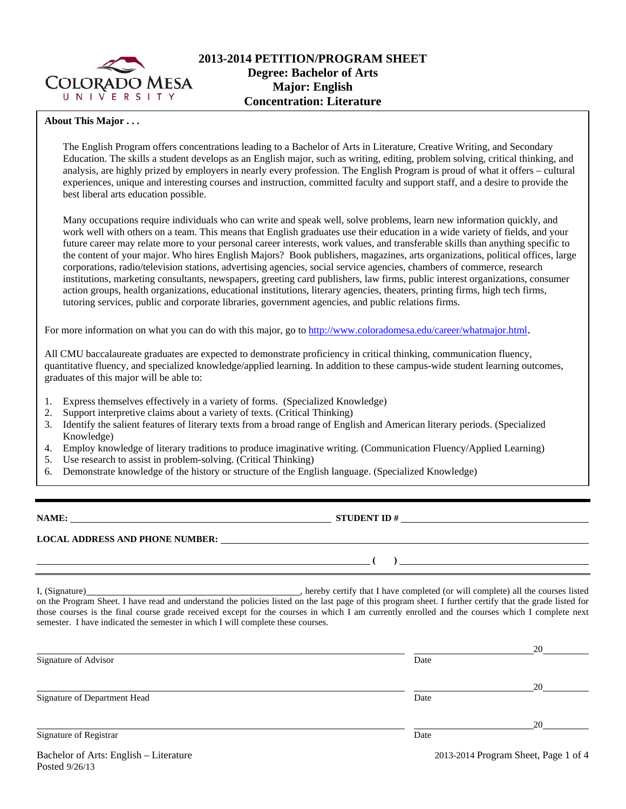

# **2013-2014 PETITION/PROGRAM SHEET Degree: Bachelor of Arts Major: English Concentration: Literature**

### **About This Major . . .**

The English Program offers concentrations leading to a Bachelor of Arts in Literature, Creative Writing, and Secondary Education. The skills a student develops as an English major, such as writing, editing, problem solving, critical thinking, and analysis, are highly prized by employers in nearly every profession. The English Program is proud of what it offers – cultural experiences, unique and interesting courses and instruction, committed faculty and support staff, and a desire to provide the best liberal arts education possible.

Many occupations require individuals who can write and speak well, solve problems, learn new information quickly, and work well with others on a team. This means that English graduates use their education in a wide variety of fields, and your future career may relate more to your personal career interests, work values, and transferable skills than anything specific to the content of your major. Who hires English Majors? Book publishers, magazines, arts organizations, political offices, large corporations, radio/television stations, advertising agencies, social service agencies, chambers of commerce, research institutions, marketing consultants, newspapers, greeting card publishers, law firms, public interest organizations, consumer action groups, health organizations, educational institutions, literary agencies, theaters, printing firms, high tech firms, tutoring services, public and corporate libraries, government agencies, and public relations firms.

For more information on what you can do with this major, go to http://www.coloradomesa.edu/career/whatmajor.html.

All CMU baccalaureate graduates are expected to demonstrate proficiency in critical thinking, communication fluency, quantitative fluency, and specialized knowledge/applied learning. In addition to these campus-wide student learning outcomes, graduates of this major will be able to:

- 1. Express themselves effectively in a variety of forms. (Specialized Knowledge)
- 2. Support interpretive claims about a variety of texts. (Critical Thinking)
- 3. Identify the salient features of literary texts from a broad range of English and American literary periods. (Specialized Knowledge)
- 4. Employ knowledge of literary traditions to produce imaginative writing. (Communication Fluency/Applied Learning)
- 5. Use research to assist in problem-solving. (Critical Thinking)
- 6. Demonstrate knowledge of the history or structure of the English language. (Specialized Knowledge)

**NAME: STUDENT ID #** 

**LOCAL ADDRESS AND PHONE NUMBER:**

I, (Signature) , hereby certify that I have completed (or will complete) all the courses listed on the Program Sheet. I have read and understand the policies listed on the last page of this program sheet. I further certify that the grade listed for those courses is the final course grade received except for the courses in which I am currently enrolled and the courses which I complete next semester. I have indicated the semester in which I will complete these courses.

|                                        |      | 20                                   |
|----------------------------------------|------|--------------------------------------|
| Signature of Advisor                   | Date |                                      |
|                                        |      | 20                                   |
| Signature of Department Head           | Date |                                      |
|                                        |      | 20                                   |
| Signature of Registrar                 | Date |                                      |
| Bachelor of Arts: English – Literature |      | 2013-2014 Program Sheet, Page 1 of 4 |

 **( )**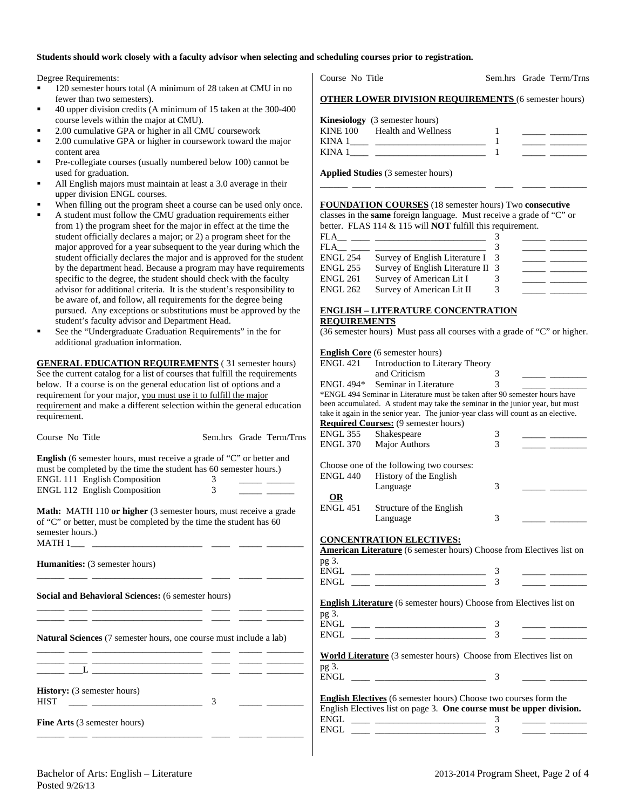#### **Students should work closely with a faculty advisor when selecting and scheduling courses prior to registration.**

Degree Requirements:

- <sup>120</sup> semester hours total (A minimum of 28 taken at CMU in no fewer than two semesters).
- 40 upper division credits (A minimum of 15 taken at the 300-400 course levels within the major at CMU).
- 2.00 cumulative GPA or higher in all CMU coursework
- 2.00 cumulative GPA or higher in coursework toward the major content area
- Pre-collegiate courses (usually numbered below 100) cannot be used for graduation.
- All English majors must maintain at least a 3.0 average in their upper division ENGL courses.
- When filling out the program sheet a course can be used only once.
- A student must follow the CMU graduation requirements either from 1) the program sheet for the major in effect at the time the student officially declares a major; or 2) a program sheet for the major approved for a year subsequent to the year during which the student officially declares the major and is approved for the student by the department head. Because a program may have requirements specific to the degree, the student should check with the faculty advisor for additional criteria. It is the student's responsibility to be aware of, and follow, all requirements for the degree being pursued. Any exceptions or substitutions must be approved by the student's faculty advisor and Department Head.
- See the "Undergraduate Graduation Requirements" in the for additional graduation information.

**GENERAL EDUCATION REQUIREMENTS** ( 31 semester hours) See the current catalog for a list of courses that fulfill the requirements below. If a course is on the general education list of options and a requirement for your major, you must use it to fulfill the major requirement and make a different selection within the general education requirement.

| Course No Title                                                                                                                                                                                           |                   | Sem.hrs Grade Term/Trns | <b>ENGL 355</b><br><b>ENGL 370</b> | Shakespeare<br><b>Major Authors</b>                                                                                                             | 3<br>3              |  |
|-----------------------------------------------------------------------------------------------------------------------------------------------------------------------------------------------------------|-------------------|-------------------------|------------------------------------|-------------------------------------------------------------------------------------------------------------------------------------------------|---------------------|--|
| English (6 semester hours, must receive a grade of "C" or better and<br>must be completed by the time the student has 60 semester hours.)<br>ENGL 111 English Composition<br>ENGL 112 English Composition | $\mathbf{3}$<br>3 |                         | <b>ENGL 440</b>                    | Choose one of the following two courses:<br>History of the English<br>Language                                                                  | 3                   |  |
| Math: MATH 110 or higher (3 semester hours, must receive a grade<br>of "C" or better, must be completed by the time the student has 60                                                                    |                   |                         | $\Omega$<br><b>ENGL 451</b>        | Structure of the English<br>Language                                                                                                            | 3                   |  |
| semester hours.)                                                                                                                                                                                          |                   |                         |                                    | <b>CONCENTRATION ELECTIVES:</b><br><b>American Literature</b> (6 semester hours) Choose from Electives list on                                  |                     |  |
| <b>Humanities:</b> (3 semester hours)                                                                                                                                                                     |                   |                         | pg 3.                              |                                                                                                                                                 |                     |  |
| Social and Behavioral Sciences: (6 semester hours)                                                                                                                                                        |                   |                         | pg 3.                              | <b>English Literature</b> (6 semester hours) Choose from Electives list on                                                                      |                     |  |
| Natural Sciences (7 semester hours, one course must include a lab)                                                                                                                                        |                   |                         |                                    |                                                                                                                                                 | 3                   |  |
|                                                                                                                                                                                                           |                   |                         | pg 3.                              | <b>World Literature</b> (3 semester hours) Choose from Electives list on                                                                        | 3                   |  |
| History: (3 semester hours)<br><u> 1988 - Alexandria Statistik, prima politik (</u><br><b>HIST</b>                                                                                                        | 3                 |                         |                                    | <b>English Electives</b> (6 semester hours) Choose two courses form the<br>English Electives list on page 3. One course must be upper division. |                     |  |
| <b>Fine Arts</b> (3 semester hours)                                                                                                                                                                       |                   |                         |                                    |                                                                                                                                                 | 3<br>$\overline{3}$ |  |

Course No Title Sem.hrs Grade Term/Trns

|        | <b>Kinesiology</b> (3 semester hours) |  |
|--------|---------------------------------------|--|
|        | KINE 100 Health and Wellness          |  |
| KINA 1 |                                       |  |
| KINA 1 |                                       |  |

\_\_\_\_\_\_ \_\_\_\_ \_\_\_\_\_\_\_\_\_\_\_\_\_\_\_\_\_\_\_\_\_\_\_\_ \_\_\_\_ \_\_\_\_\_ \_\_\_\_\_\_\_\_

**Applied Studies** (3 semester hours)

**FOUNDATION COURSES** (18 semester hours) Two **consecutive** classes in the **same** foreign language. Must receive a grade of "C" or better. FLAS 114 & 115 will **NOT** fulfill this requirement.

| FLA             |                                   |  |  |
|-----------------|-----------------------------------|--|--|
| FLA             |                                   |  |  |
| <b>ENGL 254</b> | Survey of English Literature I 3  |  |  |
| <b>ENGL 255</b> | Survey of English Literature II 3 |  |  |
| <b>ENGL 261</b> | Survey of American Lit I          |  |  |
| <b>ENGL 262</b> | Survey of American Lit II         |  |  |
|                 |                                   |  |  |

#### **ENGLISH – LITERATURE CONCENTRATION REQUIREMENTS**

|  |  |  |  |  | (36 semester hours) Must pass all courses with a grade of "C" or higher. |  |
|--|--|--|--|--|--------------------------------------------------------------------------|--|

|   |                 | <b>English Core</b> (6 semester hours)                                                                                |               |  |
|---|-----------------|-----------------------------------------------------------------------------------------------------------------------|---------------|--|
|   | ENGL 421        | Introduction to Literary Theory                                                                                       |               |  |
|   |                 | and Criticism                                                                                                         | 3             |  |
|   | ENGL 494*       | Seminar in Literature                                                                                                 | $\mathcal{E}$ |  |
|   |                 | *ENGL 494 Seminar in Literature must be taken after 90 semester hours have                                            |               |  |
|   |                 | been accumulated. A student may take the seminar in the junior year, but must                                         |               |  |
|   |                 | take it again in the senior year. The junior-year class will count as an elective.                                    |               |  |
|   |                 | <b>Required Courses:</b> (9 semester hours)                                                                           |               |  |
| Ś | ENGL 355        | Shakespeare                                                                                                           | 3             |  |
|   |                 | ENGL 370 Major Authors                                                                                                | 3             |  |
|   |                 |                                                                                                                       |               |  |
|   |                 | Choose one of the following two courses:                                                                              |               |  |
|   |                 | ENGL 440 History of the English                                                                                       |               |  |
|   |                 | Language                                                                                                              | 3             |  |
|   | OR              |                                                                                                                       |               |  |
|   | <b>ENGL 451</b> | Structure of the English                                                                                              |               |  |
|   |                 | Language                                                                                                              | 3             |  |
|   |                 |                                                                                                                       |               |  |
|   |                 | <b>CONCENTRATION ELECTIVES:</b>                                                                                       |               |  |
|   |                 | American Literature (6 semester hours) Choose from Electives list on                                                  |               |  |
|   | pg 3.           |                                                                                                                       |               |  |
|   | <b>ENGL</b>     | <u> 1989 - Johann Barbara, martin a</u>                                                                               | 3             |  |
|   | ENGL            | <u> 1999 - Johann Stein, mars an deus an deus an deus an deus an deus an deus an deus an deus an deus an deus an </u> | 3             |  |
|   |                 |                                                                                                                       |               |  |
|   |                 | <b>English Literature</b> (6 semester hours) Choose from Electives list on                                            |               |  |
|   | pg 3.           |                                                                                                                       |               |  |
|   | ENGL            |                                                                                                                       | 3             |  |
|   | ENGL            |                                                                                                                       | 3             |  |
|   |                 |                                                                                                                       |               |  |
|   |                 | World Literature (3 semester hours) Choose from Electives list on                                                     |               |  |
|   | pg 3.           |                                                                                                                       |               |  |
|   | <b>ENGL</b>     |                                                                                                                       | 3             |  |
|   |                 |                                                                                                                       |               |  |
|   |                 | English Electives (6 semester hours) Choose two courses form the                                                      |               |  |
|   | ENGL            | English Electives list on page 3. One course must be upper division.                                                  |               |  |
|   |                 | <u> 1986 - Johann Barbara, martxa alemani</u> ar a                                                                    | 3<br>3        |  |
|   | <b>ENGL</b>     |                                                                                                                       |               |  |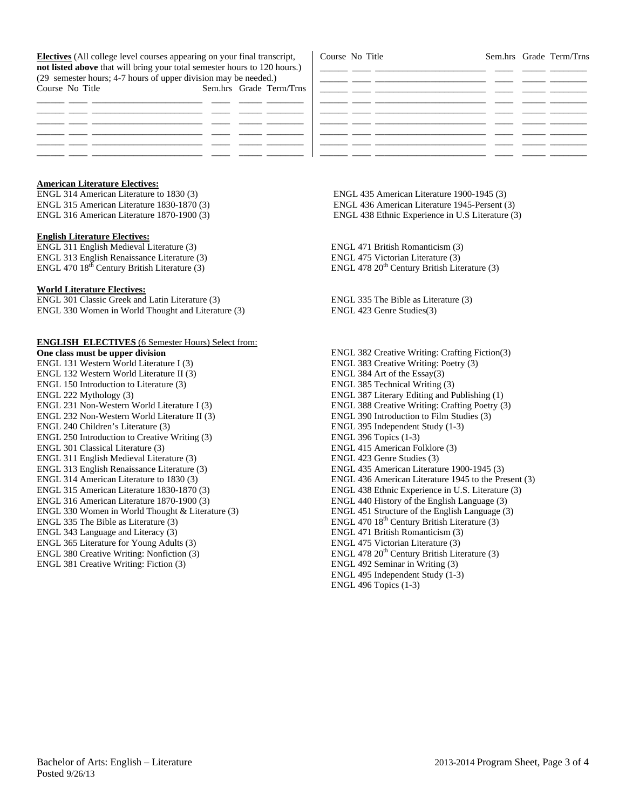**Electives** (All college level courses appearing on your final transcript, **not listed above** that will bring your total semester hours to 120 hours.) (29 semester hours; 4-7 hours of upper division may be needed.) Course No Title Sem.hrs Grade Term/Trns

| Course No Title |  |                                                                                                 | Sem.hrs Grade Term/Trns |
|-----------------|--|-------------------------------------------------------------------------------------------------|-------------------------|
|                 |  |                                                                                                 |                         |
|                 |  |                                                                                                 |                         |
|                 |  | the company of the company of the                                                               |                         |
|                 |  |                                                                                                 |                         |
|                 |  | <u> The Common School and the Common School and the Common School and the Common School and</u> |                         |
|                 |  |                                                                                                 |                         |
|                 |  |                                                                                                 |                         |
|                 |  |                                                                                                 |                         |

## **American Literature Electives:**

ENGL 314 American Literature to 1830 (3) ENGL 315 American Literature 1830-1870 (3) ENGL 316 American Literature 1870-1900 (3)

#### **English Literature Electives:**

ENGL 311 English Medieval Literature (3) ENGL 313 English Renaissance Literature (3) ENGL 470  $18<sup>th</sup>$  Century British Literature (3)

#### **World Literature Electives:**

ENGL 301 Classic Greek and Latin Literature (3) ENGL 330 Women in World Thought and Literature (3)

#### **ENGLISH ELECTIVES** (6 Semester Hours) Select from:

**One class must be upper division** ENGL 131 Western World Literature I (3) ENGL 132 Western World Literature II (3) ENGL 150 Introduction to Literature (3) ENGL 222 Mythology (3) ENGL 231 Non-Western World Literature I (3) ENGL 232 Non-Western World Literature II (3) ENGL 240 Children's Literature (3) ENGL 250 Introduction to Creative Writing (3) ENGL 301 Classical Literature (3) ENGL 311 English Medieval Literature (3) ENGL 313 English Renaissance Literature (3) ENGL 314 American Literature to 1830 (3) ENGL 315 American Literature 1830-1870 (3) ENGL 316 American Literature 1870-1900 (3) ENGL 330 Women in World Thought & Literature (3) ENGL 335 The Bible as Literature (3) ENGL 343 Language and Literacy (3) ENGL 365 Literature for Young Adults (3) ENGL 380 Creative Writing: Nonfiction (3) ENGL 381 Creative Writing: Fiction (3)

 ENGL 435 American Literature 1900-1945 (3) ENGL 436 American Literature 1945-Persent (3) ENGL 438 Ethnic Experience in U.S Literature (3)

ENGL 471 British Romanticism (3) ENGL 475 Victorian Literature (3) ENGL 478  $20<sup>th</sup>$  Century British Literature (3)

ENGL 335 The Bible as Literature (3) ENGL 423 Genre Studies(3)

ENGL 382 Creative Writing: Crafting Fiction(3) ENGL 383 Creative Writing: Poetry (3) ENGL 384 Art of the Essay(3) ENGL 385 Technical Writing (3) ENGL 387 Literary Editing and Publishing (1) ENGL 388 Creative Writing: Crafting Poetry (3) ENGL 390 Introduction to Film Studies (3) ENGL 395 Independent Study (1-3) ENGL 396 Topics (1-3) ENGL 415 American Folklore (3) ENGL 423 Genre Studies (3) ENGL 435 American Literature 1900-1945 (3) ENGL 436 American Literature 1945 to the Present (3) ENGL 438 Ethnic Experience in U.S. Literature (3) ENGL 440 History of the English Language (3) ENGL 451 Structure of the English Language (3) ENGL 470 18<sup>th</sup> Century British Literature (3) ENGL 471 British Romanticism (3) ENGL 475 Victorian Literature (3) ENGL 478  $20<sup>th</sup>$  Century British Literature (3) ENGL 492 Seminar in Writing (3) ENGL 495 Independent Study (1-3) ENGL 496 Topics (1-3)